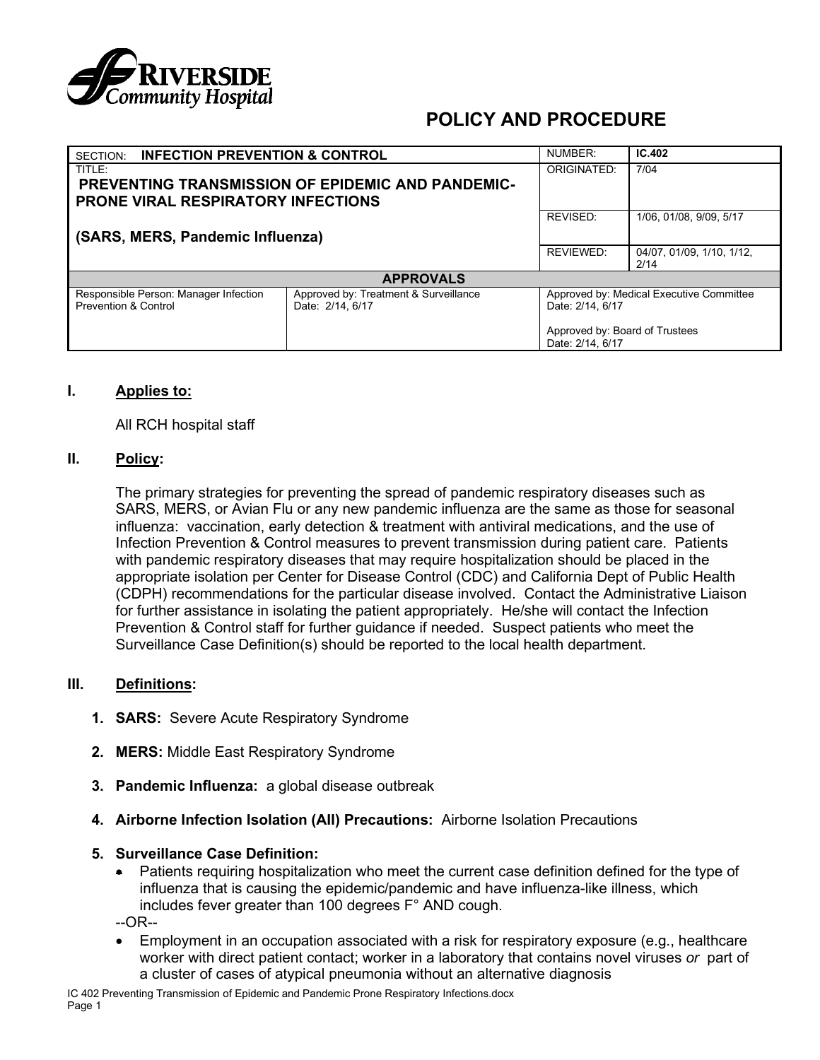

| <b>INFECTION PREVENTION &amp; CONTROL</b><br>SECTION:                                                    |                                                           | NUMBER:                                                      | IC.402                         |
|----------------------------------------------------------------------------------------------------------|-----------------------------------------------------------|--------------------------------------------------------------|--------------------------------|
| TITLE:<br>PREVENTING TRANSMISSION OF EPIDEMIC AND PANDEMIC-<br><b>PRONE VIRAL RESPIRATORY INFECTIONS</b> |                                                           | ORIGINATED:                                                  | 7/04                           |
| (SARS, MERS, Pandemic Influenza)                                                                         |                                                           | REVISED:                                                     | 1/06, 01/08, 9/09, 5/17        |
|                                                                                                          |                                                           | <b>REVIEWED:</b>                                             | 04/07.01/09.1/10.1/12.<br>2/14 |
| <b>APPROVALS</b>                                                                                         |                                                           |                                                              |                                |
| Responsible Person: Manager Infection<br><b>Prevention &amp; Control</b>                                 | Approved by: Treatment & Surveillance<br>Date: 2/14, 6/17 | Approved by: Medical Executive Committee<br>Date: 2/14, 6/17 |                                |
|                                                                                                          |                                                           | Approved by: Board of Trustees<br>Date: 2/14, 6/17           |                                |

#### **I. Applies to:**

All RCH hospital staff

#### **II. Policy:**

The primary strategies for preventing the spread of pandemic respiratory diseases such as SARS, MERS, or Avian Flu or any new pandemic influenza are the same as those for seasonal influenza: vaccination, early detection & treatment with antiviral medications, and the use of Infection Prevention & Control measures to prevent transmission during patient care. Patients with pandemic respiratory diseases that may require hospitalization should be placed in the appropriate isolation per Center for Disease Control (CDC) and California Dept of Public Health (CDPH) recommendations for the particular disease involved. Contact the Administrative Liaison for further assistance in isolating the patient appropriately. He/she will contact the Infection Prevention & Control staff for further guidance if needed. Suspect patients who meet the Surveillance Case Definition(s) should be reported to the local health department.

#### **III. Definitions:**

- **1. SARS:** Severe Acute Respiratory Syndrome
- **2. MERS:** Middle East Respiratory Syndrome
- **3. Pandemic Influenza:** a global disease outbreak
- **4. Airborne Infection Isolation (AII) Precautions:** Airborne Isolation Precautions
- **5. Surveillance Case Definition:**
	- Patients requiring hospitalization who meet the current case definition defined for the type of influenza that is causing the epidemic/pandemic and have influenza-like illness, which includes fever greater than 100 degrees F° AND cough.

--OR--

• Employment in an occupation associated with a risk for respiratory exposure (e.g., healthcare worker with direct patient contact; worker in a laboratory that contains novel viruses *or* part of a cluster of cases of atypical pneumonia without an alternative diagnosis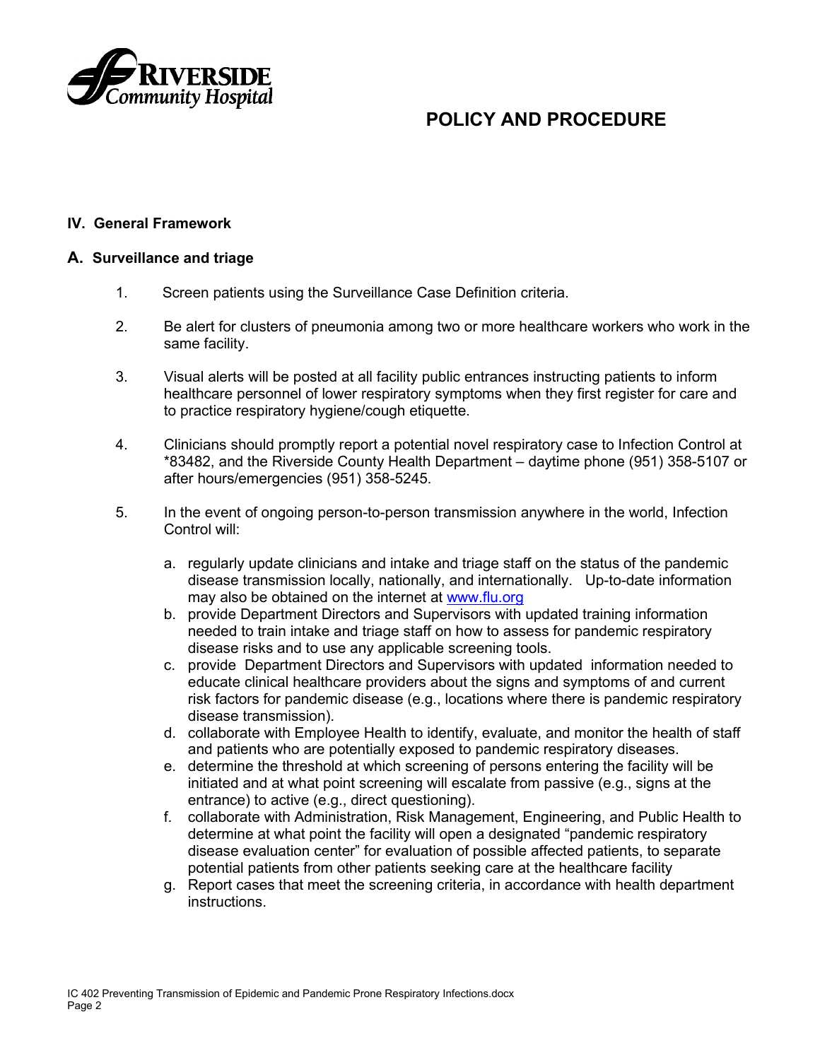

#### **IV. General Framework**

#### **A. Surveillance and triage**

- 1. Screen patients using the Surveillance Case Definition criteria.
- 2. Be alert for clusters of pneumonia among two or more healthcare workers who work in the same facility.
- 3. Visual alerts will be posted at all facility public entrances instructing patients to inform healthcare personnel of lower respiratory symptoms when they first register for care and to practice respiratory hygiene/cough etiquette.
- 4. Clinicians should promptly report a potential novel respiratory case to Infection Control at \*83482, and the Riverside County Health Department – daytime phone (951) 358-5107 or after hours/emergencies (951) 358-5245.
- 5. In the event of ongoing person-to-person transmission anywhere in the world, Infection Control will:
	- a. regularly update clinicians and intake and triage staff on the status of the pandemic disease transmission locally, nationally, and internationally. Up-to-date information may also be obtained on the internet at [www.flu.org](http://www.flu.org/)
	- b. provide Department Directors and Supervisors with updated training information needed to train intake and triage staff on how to assess for pandemic respiratory disease risks and to use any applicable screening tools.
	- c. provide Department Directors and Supervisors with updated information needed to educate clinical healthcare providers about the signs and symptoms of and current risk factors for pandemic disease (e.g., locations where there is pandemic respiratory disease transmission).
	- d. collaborate with Employee Health to identify, evaluate, and monitor the health of staff and patients who are potentially exposed to pandemic respiratory diseases.
	- e. determine the threshold at which screening of persons entering the facility will be initiated and at what point screening will escalate from passive (e.g., signs at the entrance) to active (e.g., direct questioning).
	- f. collaborate with Administration, Risk Management, Engineering, and Public Health to determine at what point the facility will open a designated "pandemic respiratory disease evaluation center" for evaluation of possible affected patients, to separate potential patients from other patients seeking care at the healthcare facility
	- g. Report cases that meet the screening criteria, in accordance with health department instructions.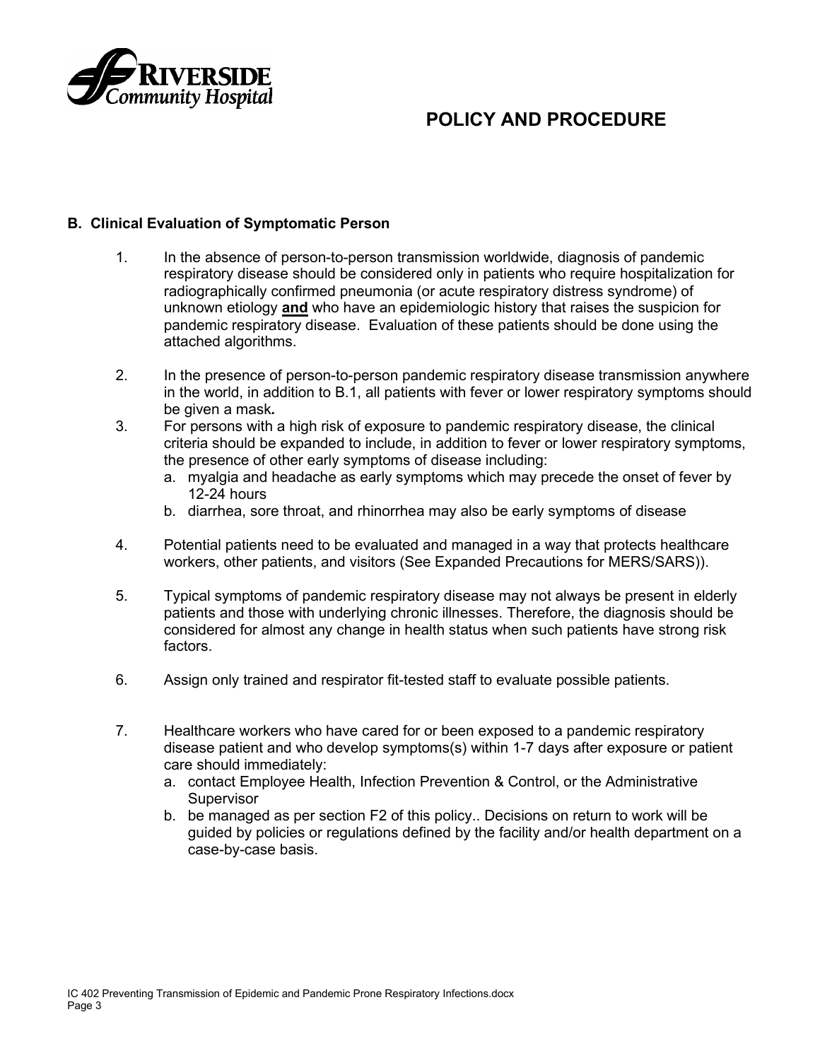

#### **B. Clinical Evaluation of Symptomatic Person**

- 1. In the absence of person-to-person transmission worldwide, diagnosis of pandemic respiratory disease should be considered only in patients who require hospitalization for radiographically confirmed pneumonia (or acute respiratory distress syndrome) of unknown etiology **and** who have an epidemiologic history that raises the suspicion for pandemic respiratory disease. Evaluation of these patients should be done using the attached algorithms.
- 2. In the presence of person-to-person pandemic respiratory disease transmission anywhere in the world, in addition to B.1, all patients with fever or lower respiratory symptoms should be given a mask*.*
- 3. For persons with a high risk of exposure to pandemic respiratory disease, the clinical criteria should be expanded to include, in addition to fever or lower respiratory symptoms, the presence of other early symptoms of disease including:
	- a. myalgia and headache as early symptoms which may precede the onset of fever by 12-24 hours
	- b. diarrhea, sore throat, and rhinorrhea may also be early symptoms of disease
- 4. Potential patients need to be evaluated and managed in a way that protects healthcare workers, other patients, and visitors (See Expanded Precautions for MERS/SARS)).
- 5. Typical symptoms of pandemic respiratory disease may not always be present in elderly patients and those with underlying chronic illnesses. Therefore, the diagnosis should be considered for almost any change in health status when such patients have strong risk factors.
- 6. Assign only trained and respirator fit-tested staff to evaluate possible patients.
- 7. Healthcare workers who have cared for or been exposed to a pandemic respiratory disease patient and who develop symptoms(s) within 1-7 days after exposure or patient care should immediately:
	- a. contact Employee Health, Infection Prevention & Control, or the Administrative **Supervisor**
	- b. be managed as per section F2 of this policy.. Decisions on return to work will be guided by policies or regulations defined by the facility and/or health department on a case-by-case basis.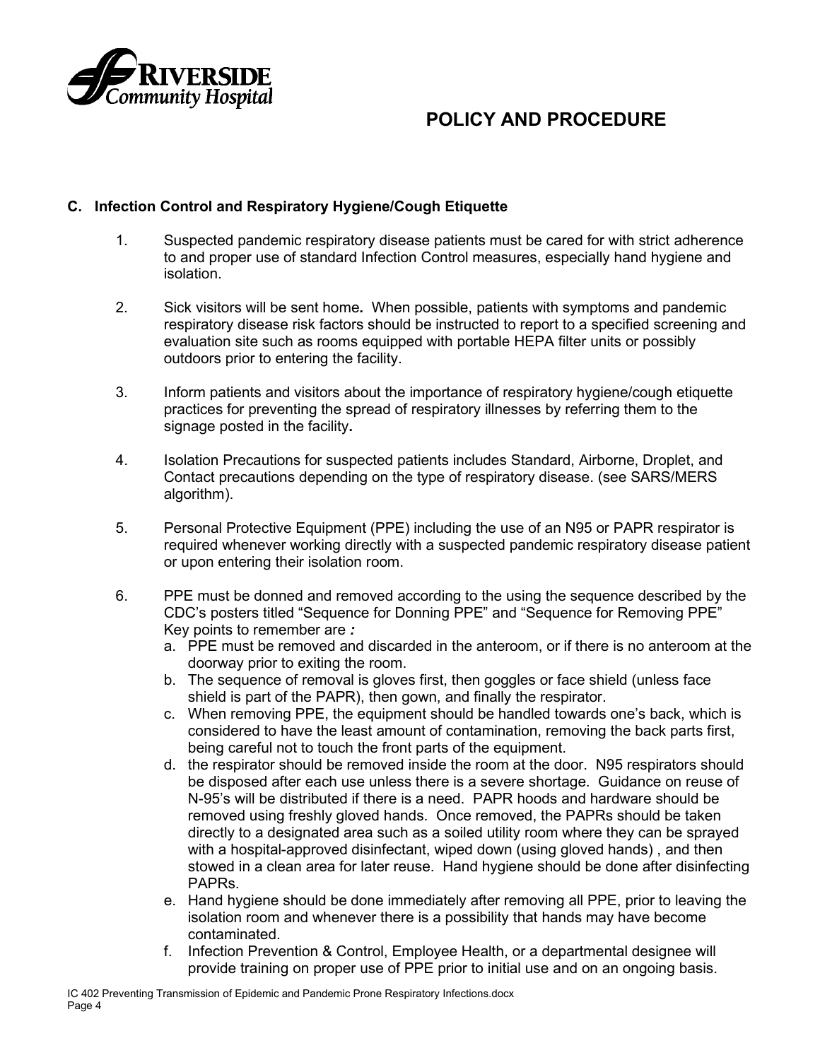

### **C. Infection Control and Respiratory Hygiene/Cough Etiquette**

- 1. Suspected pandemic respiratory disease patients must be cared for with strict adherence to and proper use of standard Infection Control measures, especially hand hygiene and isolation.
- 2. Sick visitors will be sent home*.* When possible, patients with symptoms and pandemic respiratory disease risk factors should be instructed to report to a specified screening and evaluation site such as rooms equipped with portable HEPA filter units or possibly outdoors prior to entering the facility.
- 3. Inform patients and visitors about the importance of respiratory hygiene/cough etiquette practices for preventing the spread of respiratory illnesses by referring them to the signage posted in the facility**.**
- 4. Isolation Precautions for suspected patients includes Standard, Airborne, Droplet, and Contact precautions depending on the type of respiratory disease. (see SARS/MERS algorithm).
- 5. Personal Protective Equipment (PPE) including the use of an N95 or PAPR respirator is required whenever working directly with a suspected pandemic respiratory disease patient or upon entering their isolation room.
- 6. PPE must be donned and removed according to the using the sequence described by the CDC's posters titled "Sequence for Donning PPE" and "Sequence for Removing PPE" Key points to remember are *:*
	- a. PPE must be removed and discarded in the anteroom, or if there is no anteroom at the doorway prior to exiting the room.
	- b. The sequence of removal is gloves first, then goggles or face shield (unless face shield is part of the PAPR), then gown, and finally the respirator.
	- c. When removing PPE, the equipment should be handled towards one's back, which is considered to have the least amount of contamination, removing the back parts first, being careful not to touch the front parts of the equipment.
	- d. the respirator should be removed inside the room at the door. N95 respirators should be disposed after each use unless there is a severe shortage. Guidance on reuse of N-95's will be distributed if there is a need. PAPR hoods and hardware should be removed using freshly gloved hands. Once removed, the PAPRs should be taken directly to a designated area such as a soiled utility room where they can be sprayed with a hospital-approved disinfectant, wiped down (using gloved hands) , and then stowed in a clean area for later reuse. Hand hygiene should be done after disinfecting PAPRs.
	- e. Hand hygiene should be done immediately after removing all PPE, prior to leaving the isolation room and whenever there is a possibility that hands may have become contaminated.
	- f. Infection Prevention & Control, Employee Health, or a departmental designee will provide training on proper use of PPE prior to initial use and on an ongoing basis.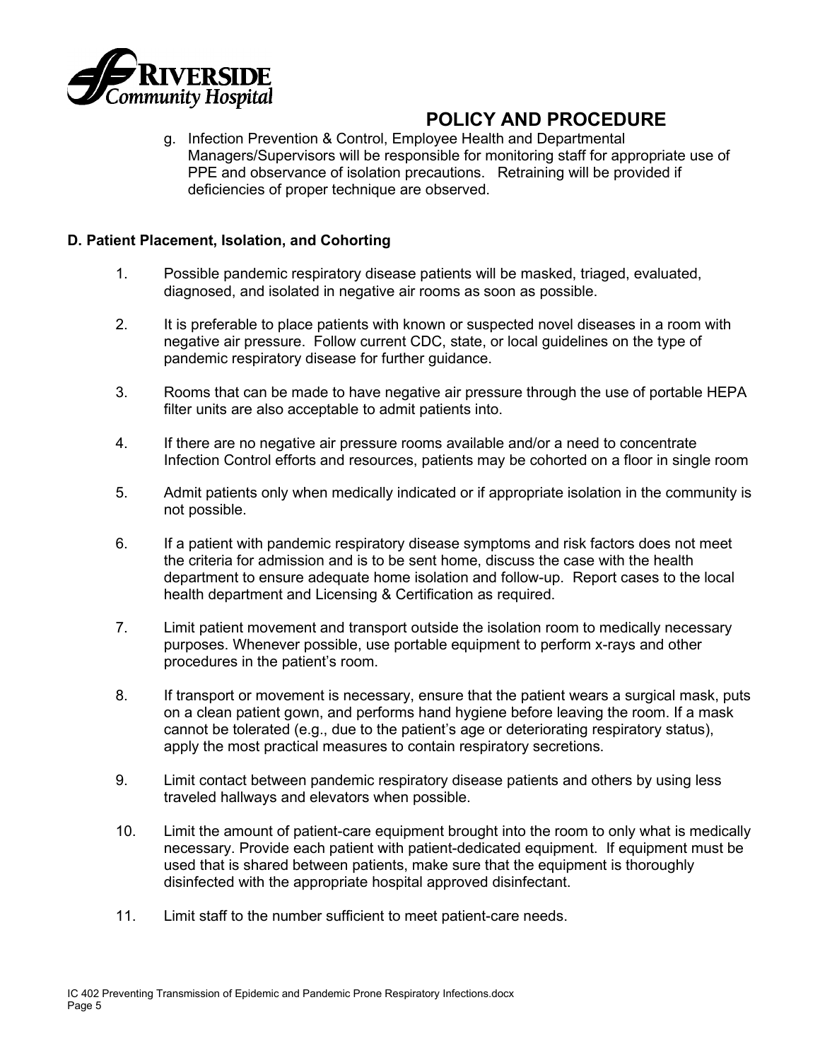

g. Infection Prevention & Control, Employee Health and Departmental Managers/Supervisors will be responsible for monitoring staff for appropriate use of PPE and observance of isolation precautions. Retraining will be provided if deficiencies of proper technique are observed.

### **D. Patient Placement, Isolation, and Cohorting**

- 1. Possible pandemic respiratory disease patients will be masked, triaged, evaluated, diagnosed, and isolated in negative air rooms as soon as possible.
- 2. It is preferable to place patients with known or suspected novel diseases in a room with negative air pressure. Follow current CDC, state, or local guidelines on the type of pandemic respiratory disease for further guidance.
- 3. Rooms that can be made to have negative air pressure through the use of portable HEPA filter units are also acceptable to admit patients into.
- 4. If there are no negative air pressure rooms available and/or a need to concentrate Infection Control efforts and resources, patients may be cohorted on a floor in single room
- 5. Admit patients only when medically indicated or if appropriate isolation in the community is not possible.
- 6. If a patient with pandemic respiratory disease symptoms and risk factors does not meet the criteria for admission and is to be sent home, discuss the case with the health department to ensure adequate home isolation and follow-up. Report cases to the local health department and Licensing & Certification as required.
- 7. Limit patient movement and transport outside the isolation room to medically necessary purposes. Whenever possible, use portable equipment to perform x-rays and other procedures in the patient's room.
- 8. If transport or movement is necessary, ensure that the patient wears a surgical mask, puts on a clean patient gown, and performs hand hygiene before leaving the room. If a mask cannot be tolerated (e.g., due to the patient's age or deteriorating respiratory status), apply the most practical measures to contain respiratory secretions.
- 9. Limit contact between pandemic respiratory disease patients and others by using less traveled hallways and elevators when possible.
- 10. Limit the amount of patient-care equipment brought into the room to only what is medically necessary. Provide each patient with patient-dedicated equipment. If equipment must be used that is shared between patients, make sure that the equipment is thoroughly disinfected with the appropriate hospital approved disinfectant.
- 11. Limit staff to the number sufficient to meet patient-care needs.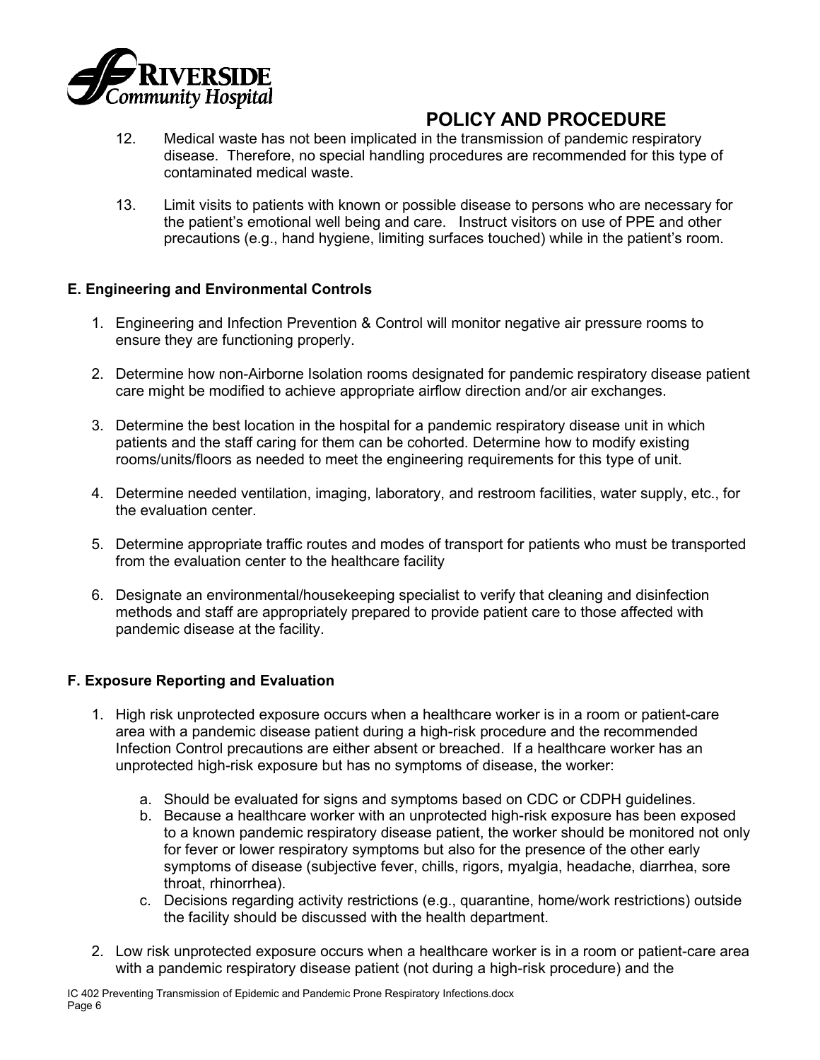

- 12. Medical waste has not been implicated in the transmission of pandemic respiratory disease. Therefore, no special handling procedures are recommended for this type of contaminated medical waste.
- 13. Limit visits to patients with known or possible disease to persons who are necessary for the patient's emotional well being and care. Instruct visitors on use of PPE and other precautions (e.g., hand hygiene, limiting surfaces touched) while in the patient's room.

### **E. Engineering and Environmental Controls**

- 1. Engineering and Infection Prevention & Control will monitor negative air pressure rooms to ensure they are functioning properly.
- 2. Determine how non-Airborne Isolation rooms designated for pandemic respiratory disease patient care might be modified to achieve appropriate airflow direction and/or air exchanges.
- 3. Determine the best location in the hospital for a pandemic respiratory disease unit in which patients and the staff caring for them can be cohorted. Determine how to modify existing rooms/units/floors as needed to meet the engineering requirements for this type of unit.
- 4. Determine needed ventilation, imaging, laboratory, and restroom facilities, water supply, etc., for the evaluation center.
- 5. Determine appropriate traffic routes and modes of transport for patients who must be transported from the evaluation center to the healthcare facility
- 6. Designate an environmental/housekeeping specialist to verify that cleaning and disinfection methods and staff are appropriately prepared to provide patient care to those affected with pandemic disease at the facility.

### **F. Exposure Reporting and Evaluation**

- 1. High risk unprotected exposure occurs when a healthcare worker is in a room or patient-care area with a pandemic disease patient during a high-risk procedure and the recommended Infection Control precautions are either absent or breached. If a healthcare worker has an unprotected high-risk exposure but has no symptoms of disease, the worker:
	- a. Should be evaluated for signs and symptoms based on CDC or CDPH guidelines.
	- b. Because a healthcare worker with an unprotected high-risk exposure has been exposed to a known pandemic respiratory disease patient, the worker should be monitored not only for fever or lower respiratory symptoms but also for the presence of the other early symptoms of disease (subjective fever, chills, rigors, myalgia, headache, diarrhea, sore throat, rhinorrhea).
	- c. Decisions regarding activity restrictions (e.g., quarantine, home/work restrictions) outside the facility should be discussed with the health department.
- 2. Low risk unprotected exposure occurs when a healthcare worker is in a room or patient-care area with a pandemic respiratory disease patient (not during a high-risk procedure) and the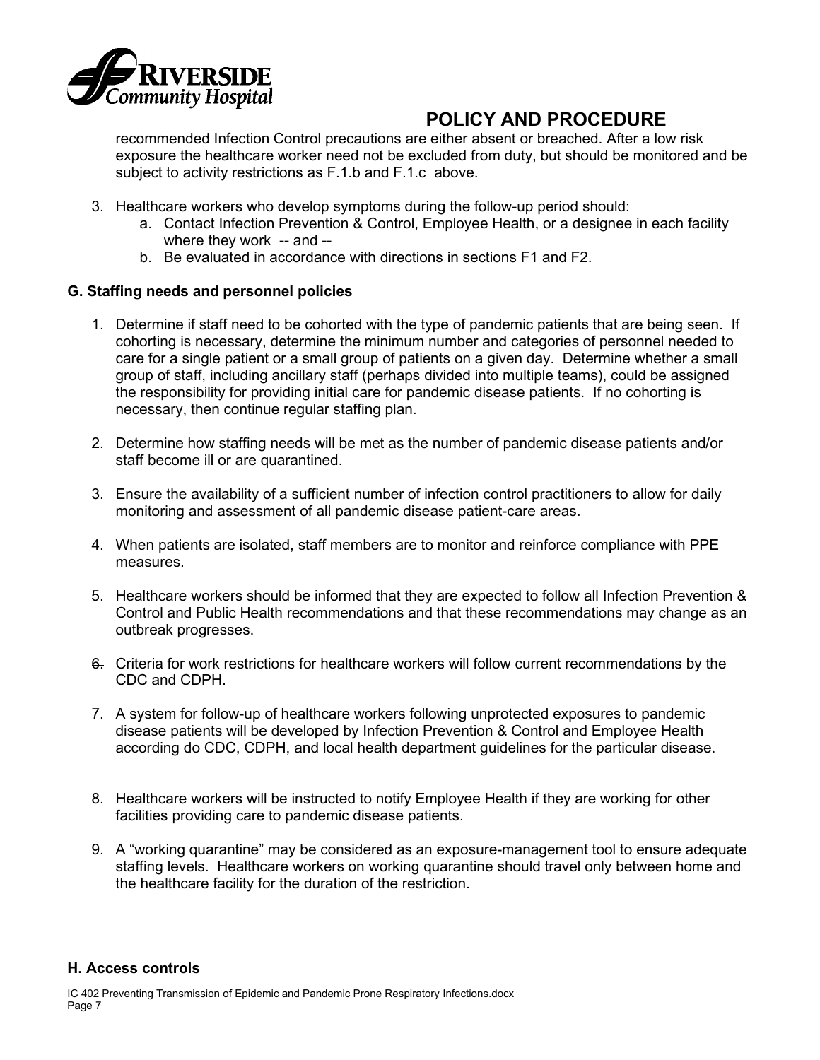

recommended Infection Control precautions are either absent or breached. After a low risk exposure the healthcare worker need not be excluded from duty, but should be monitored and be subject to activity restrictions as F.1.b and F.1.c above.

- 3. Healthcare workers who develop symptoms during the follow-up period should:
	- a. Contact Infection Prevention & Control, Employee Health, or a designee in each facility where they work -- and --
	- b. Be evaluated in accordance with directions in sections F1 and F2.

### **G. Staffing needs and personnel policies**

- 1. Determine if staff need to be cohorted with the type of pandemic patients that are being seen. If cohorting is necessary, determine the minimum number and categories of personnel needed to care for a single patient or a small group of patients on a given day. Determine whether a small group of staff, including ancillary staff (perhaps divided into multiple teams), could be assigned the responsibility for providing initial care for pandemic disease patients. If no cohorting is necessary, then continue regular staffing plan.
- 2. Determine how staffing needs will be met as the number of pandemic disease patients and/or staff become ill or are quarantined.
- 3. Ensure the availability of a sufficient number of infection control practitioners to allow for daily monitoring and assessment of all pandemic disease patient-care areas.
- 4. When patients are isolated, staff members are to monitor and reinforce compliance with PPE measures.
- 5. Healthcare workers should be informed that they are expected to follow all Infection Prevention & Control and Public Health recommendations and that these recommendations may change as an outbreak progresses.
- 6. Criteria for work restrictions for healthcare workers will follow current recommendations by the CDC and CDPH.
- 7. A system for follow-up of healthcare workers following unprotected exposures to pandemic disease patients will be developed by Infection Prevention & Control and Employee Health according do CDC, CDPH, and local health department guidelines for the particular disease.
- 8. Healthcare workers will be instructed to notify Employee Health if they are working for other facilities providing care to pandemic disease patients.
- 9. A "working quarantine" may be considered as an exposure-management tool to ensure adequate staffing levels. Healthcare workers on working quarantine should travel only between home and the healthcare facility for the duration of the restriction.

#### **H. Access controls**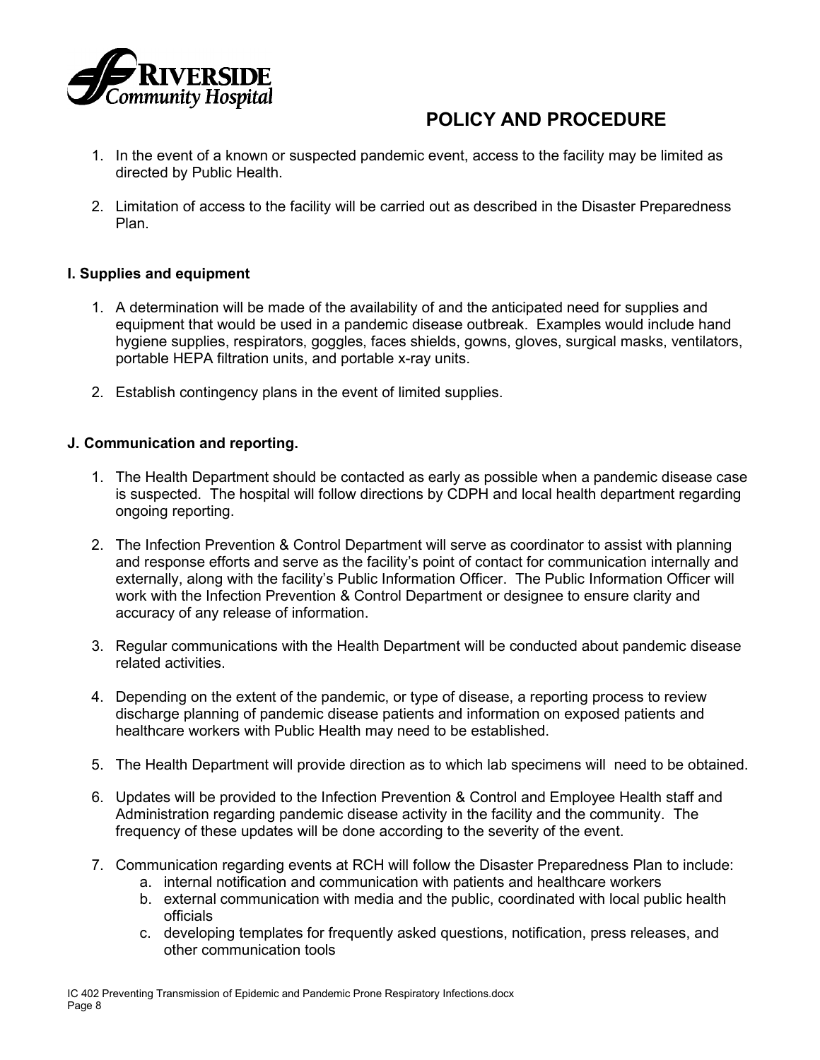

- 1. In the event of a known or suspected pandemic event, access to the facility may be limited as directed by Public Health.
- 2. Limitation of access to the facility will be carried out as described in the Disaster Preparedness Plan.

### **I. Supplies and equipment**

- 1. A determination will be made of the availability of and the anticipated need for supplies and equipment that would be used in a pandemic disease outbreak. Examples would include hand hygiene supplies, respirators, goggles, faces shields, gowns, gloves, surgical masks, ventilators, portable HEPA filtration units, and portable x-ray units.
- 2. Establish contingency plans in the event of limited supplies.

#### **J. Communication and reporting.**

- 1. The Health Department should be contacted as early as possible when a pandemic disease case is suspected. The hospital will follow directions by CDPH and local health department regarding ongoing reporting.
- 2. The Infection Prevention & Control Department will serve as coordinator to assist with planning and response efforts and serve as the facility's point of contact for communication internally and externally, along with the facility's Public Information Officer. The Public Information Officer will work with the Infection Prevention & Control Department or designee to ensure clarity and accuracy of any release of information.
- 3. Regular communications with the Health Department will be conducted about pandemic disease related activities.
- 4. Depending on the extent of the pandemic, or type of disease, a reporting process to review discharge planning of pandemic disease patients and information on exposed patients and healthcare workers with Public Health may need to be established.
- 5. The Health Department will provide direction as to which lab specimens will need to be obtained.
- 6. Updates will be provided to the Infection Prevention & Control and Employee Health staff and Administration regarding pandemic disease activity in the facility and the community. The frequency of these updates will be done according to the severity of the event.
- 7. Communication regarding events at RCH will follow the Disaster Preparedness Plan to include:
	- a. internal notification and communication with patients and healthcare workers
	- b. external communication with media and the public, coordinated with local public health officials
	- c. developing templates for frequently asked questions, notification, press releases, and other communication tools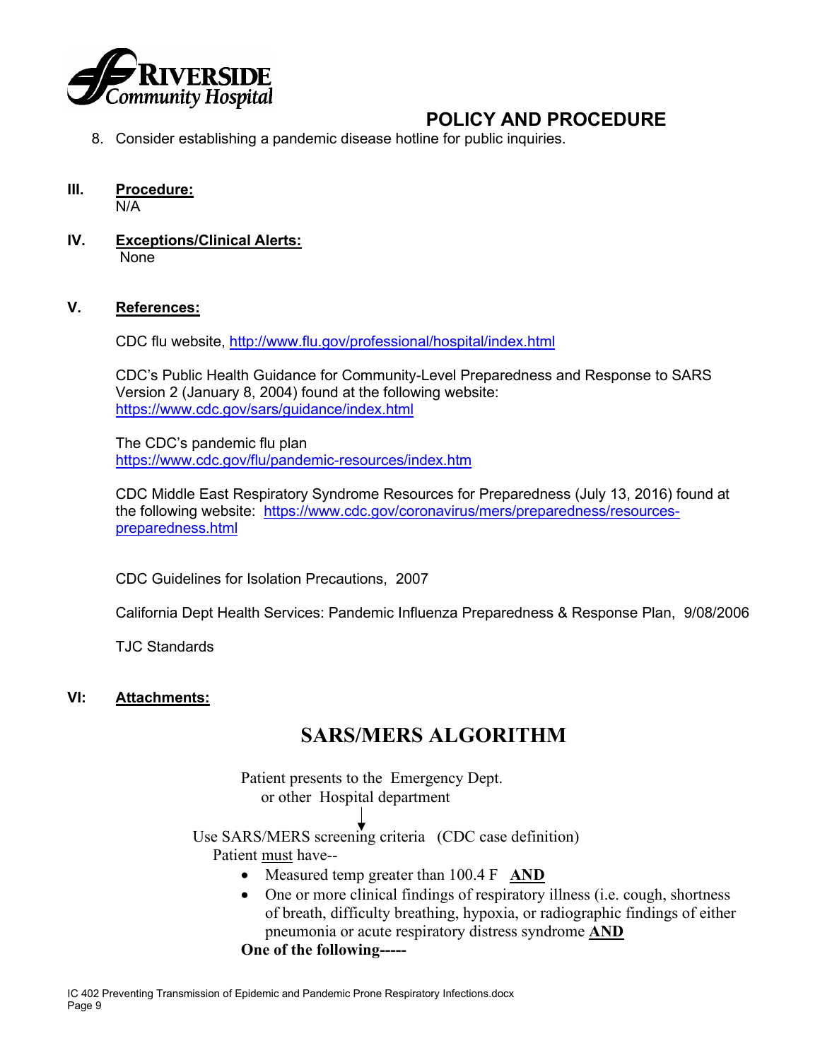

- 8. Consider establishing a pandemic disease hotline for public inquiries.
- **III. Procedure:**

N/A

**IV. Exceptions/Clinical Alerts:** None

### **V. References:**

CDC flu website,<http://www.flu.gov/professional/hospital/index.html>

CDC's Public Health Guidance for Community-Level Preparedness and Response to SARS Version 2 (January 8, 2004) found at the following website: <https://www.cdc.gov/sars/guidance/index.html>

The CDC's pandemic flu plan <https://www.cdc.gov/flu/pandemic-resources/index.htm>

CDC Middle East Respiratory Syndrome Resources for Preparedness (July 13, 2016) found at the following website: [https://www.cdc.gov/coronavirus/mers/preparedness/resources](https://www.cdc.gov/coronavirus/mers/preparedness/resources-preparedness.html)[preparedness.html](https://www.cdc.gov/coronavirus/mers/preparedness/resources-preparedness.html)

CDC Guidelines for Isolation Precautions, 2007

California Dept Health Services: Pandemic Influenza Preparedness & Response Plan, 9/08/2006

TJC Standards

### **VI: Attachments:**

### **SARS/MERS ALGORITHM**

Patient presents to the Emergency Dept. or other Hospital department

Use SARS/MERS screening criteria (CDC case definition) Patient must have--

- Measured temp greater than 100.4 F **AND**
- One or more clinical findings of respiratory illness (i.e. cough, shortness of breath, difficulty breathing, hypoxia, or radiographic findings of either pneumonia or acute respiratory distress syndrome **AND**

**One of the following-----**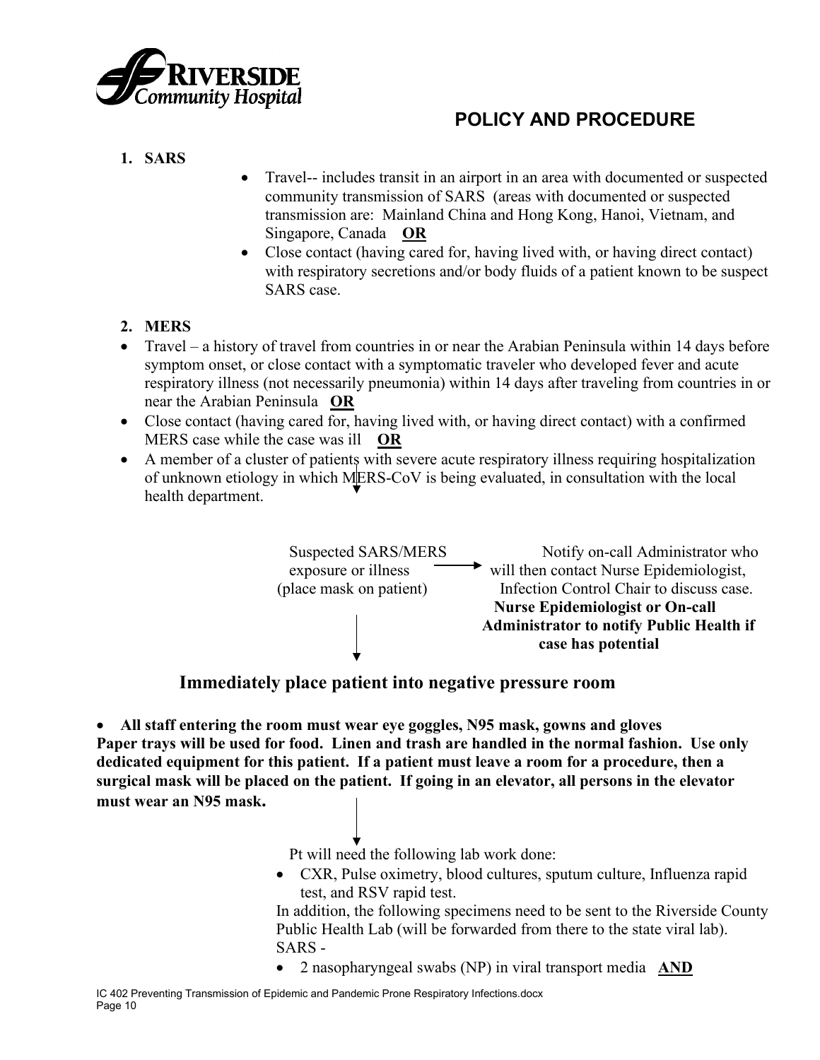

### **1. SARS**

- Travel-- includes transit in an airport in an area with documented or suspected community transmission of SARS (areas with documented or suspected transmission are: Mainland China and Hong Kong, Hanoi, Vietnam, and Singapore, Canada **OR**
- Close contact (having cared for, having lived with, or having direct contact) with respiratory secretions and/or body fluids of a patient known to be suspect SARS case.

### **2. MERS**

- Travel a history of travel from countries in or near the Arabian Peninsula within 14 days before symptom onset, or close contact with a symptomatic traveler who developed fever and acute respiratory illness (not necessarily pneumonia) within 14 days after traveling from countries in or near the Arabian Peninsula **OR**
- Close contact (having cared for, having lived with, or having direct contact) with a confirmed MERS case while the case was ill **OR**
- A member of a cluster of patients with severe acute respiratory illness requiring hospitalization of unknown etiology in which MERS-CoV is being evaluated, in consultation with the local health department.



### **Immediately place patient into negative pressure room**

• **All staff entering the room must wear eye goggles, N95 mask, gowns and gloves Paper trays will be used for food. Linen and trash are handled in the normal fashion. Use only dedicated equipment for this patient. If a patient must leave a room for a procedure, then a surgical mask will be placed on the patient. If going in an elevator, all persons in the elevator must wear an N95 mask.**